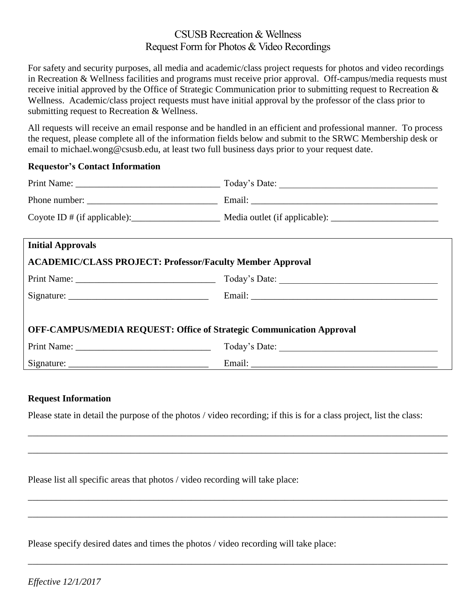## CSUSB Recreation & Wellness Request Form for Photos & Video Recordings

For safety and security purposes, all media and academic/class project requests for photos and video recordings in Recreation & Wellness facilities and programs must receive prior approval. Off-campus/media requests must receive initial approved by the Office of Strategic Communication prior to submitting request to Recreation & Wellness. Academic/class project requests must have initial approval by the professor of the class prior to submitting request to Recreation & Wellness.

All requests will receive an email response and be handled in an efficient and professional manner. To process the request, please complete all of the information fields below and submit to the SRWC Membership desk or email to michael.wong@csusb.edu, at least two full business days prior to your request date.

## **Requestor's Contact Information**

|                                                                  | Coyote ID # (if applicable): Media outlet (if applicable): ______________________ |
|------------------------------------------------------------------|-----------------------------------------------------------------------------------|
|                                                                  |                                                                                   |
| <b>Initial Approvals</b>                                         |                                                                                   |
| <b>ACADEMIC/CLASS PROJECT: Professor/Faculty Member Approval</b> |                                                                                   |
|                                                                  |                                                                                   |
|                                                                  |                                                                                   |

| OFF-CAMPUS/MEDIA REQUEST: Office of Strategic Communication Approval |               |
|----------------------------------------------------------------------|---------------|
| Print Name:                                                          | Today's Date: |
| Signature:                                                           | Email:        |

## **Request Information**

Please state in detail the purpose of the photos / video recording; if this is for a class project, list the class:

\_\_\_\_\_\_\_\_\_\_\_\_\_\_\_\_\_\_\_\_\_\_\_\_\_\_\_\_\_\_\_\_\_\_\_\_\_\_\_\_\_\_\_\_\_\_\_\_\_\_\_\_\_\_\_\_\_\_\_\_\_\_\_\_\_\_\_\_\_\_\_\_\_\_\_\_\_\_\_\_\_\_\_\_\_\_\_\_\_\_

\_\_\_\_\_\_\_\_\_\_\_\_\_\_\_\_\_\_\_\_\_\_\_\_\_\_\_\_\_\_\_\_\_\_\_\_\_\_\_\_\_\_\_\_\_\_\_\_\_\_\_\_\_\_\_\_\_\_\_\_\_\_\_\_\_\_\_\_\_\_\_\_\_\_\_\_\_\_\_\_\_\_\_\_\_\_\_\_\_\_

\_\_\_\_\_\_\_\_\_\_\_\_\_\_\_\_\_\_\_\_\_\_\_\_\_\_\_\_\_\_\_\_\_\_\_\_\_\_\_\_\_\_\_\_\_\_\_\_\_\_\_\_\_\_\_\_\_\_\_\_\_\_\_\_\_\_\_\_\_\_\_\_\_\_\_\_\_\_\_\_\_\_\_\_\_\_\_\_\_\_

\_\_\_\_\_\_\_\_\_\_\_\_\_\_\_\_\_\_\_\_\_\_\_\_\_\_\_\_\_\_\_\_\_\_\_\_\_\_\_\_\_\_\_\_\_\_\_\_\_\_\_\_\_\_\_\_\_\_\_\_\_\_\_\_\_\_\_\_\_\_\_\_\_\_\_\_\_\_\_\_\_\_\_\_\_\_\_\_\_\_

\_\_\_\_\_\_\_\_\_\_\_\_\_\_\_\_\_\_\_\_\_\_\_\_\_\_\_\_\_\_\_\_\_\_\_\_\_\_\_\_\_\_\_\_\_\_\_\_\_\_\_\_\_\_\_\_\_\_\_\_\_\_\_\_\_\_\_\_\_\_\_\_\_\_\_\_\_\_\_\_\_\_\_\_\_\_\_\_\_\_

Please list all specific areas that photos / video recording will take place:

Please specify desired dates and times the photos / video recording will take place: